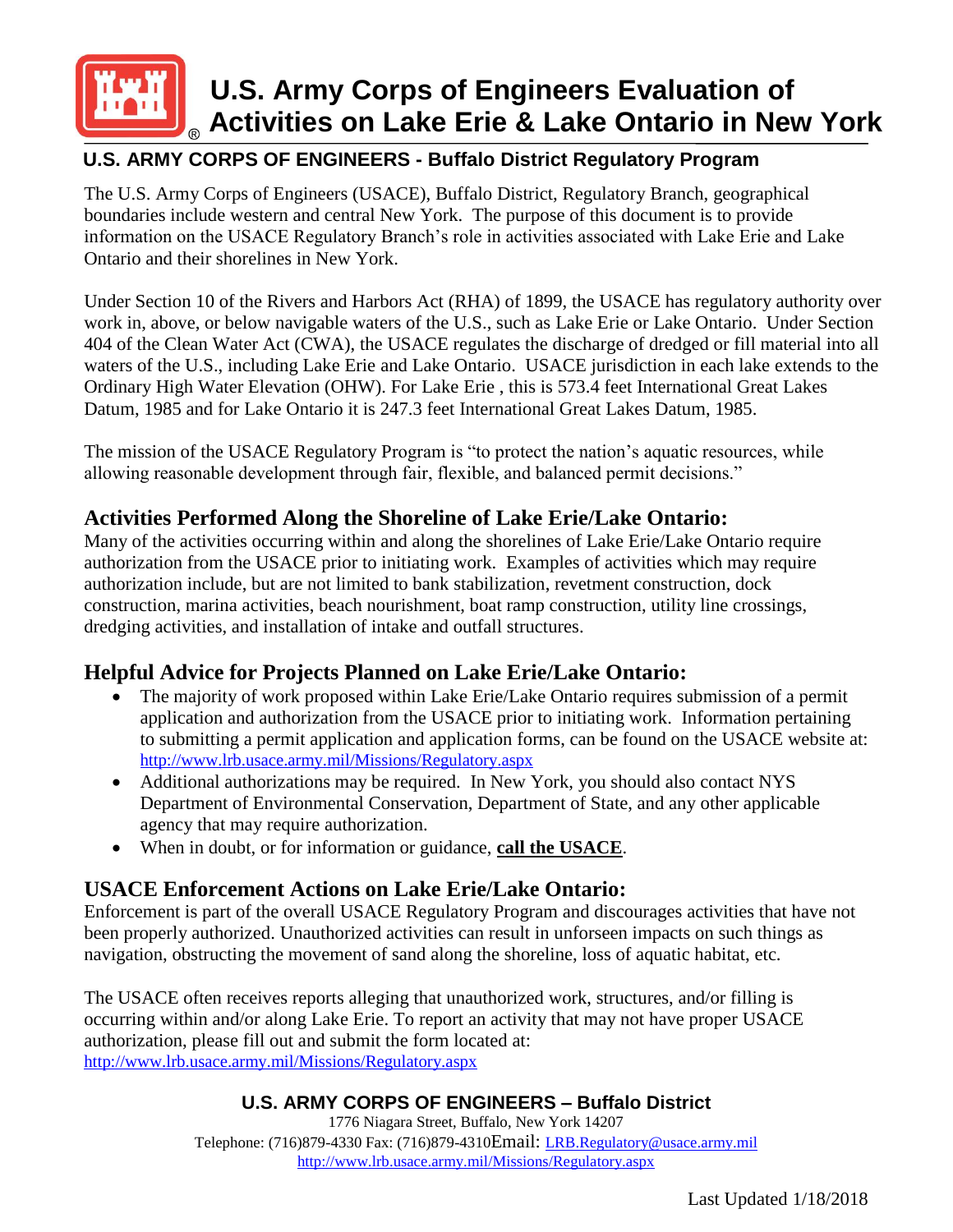

# **U.S. Army Corps of Engineers Evaluation of Activities on Lake Erie & Lake Ontario in New York**

# **U.S. ARMY CORPS OF ENGINEERS - Buffalo District Regulatory Program**

The U.S. Army Corps of Engineers (USACE), Buffalo District, Regulatory Branch, geographical boundaries include western and central New York. The purpose of this document is to provide information on the USACE Regulatory Branch's role in activities associated with Lake Erie and Lake Ontario and their shorelines in New York.

Under Section 10 of the Rivers and Harbors Act (RHA) of 1899, the USACE has regulatory authority over work in, above, or below navigable waters of the U.S., such as Lake Erie or Lake Ontario. Under Section 404 of the Clean Water Act (CWA), the USACE regulates the discharge of dredged or fill material into all waters of the U.S., including Lake Erie and Lake Ontario. USACE jurisdiction in each lake extends to the Ordinary High Water Elevation (OHW). For Lake Erie , this is 573.4 feet International Great Lakes Datum, 1985 and for Lake Ontario it is 247.3 feet International Great Lakes Datum, 1985.

The mission of the USACE Regulatory Program is "to protect the nation's aquatic resources, while allowing reasonable development through fair, flexible, and balanced permit decisions."

## **Activities Performed Along the Shoreline of Lake Erie/Lake Ontario:**

Many of the activities occurring within and along the shorelines of Lake Erie/Lake Ontario require authorization from the USACE prior to initiating work. Examples of activities which may require authorization include, but are not limited to bank stabilization, revetment construction, dock construction, marina activities, beach nourishment, boat ramp construction, utility line crossings, dredging activities, and installation of intake and outfall structures.

## **Helpful Advice for Projects Planned on Lake Erie/Lake Ontario:**

- The majority of work proposed within Lake Erie/Lake Ontario requires submission of a permit application and authorization from the USACE prior to initiating work. Information pertaining to submitting a permit application and application forms, can be found on the USACE website at: <http://www.lrb.usace.army.mil/Missions/Regulatory.aspx>
- Additional authorizations may be required. In New York, you should also contact NYS Department of Environmental Conservation, Department of State, and any other applicable agency that may require authorization.
- When in doubt, or for information or guidance, **call the USACE**.

# **USACE Enforcement Actions on Lake Erie/Lake Ontario:**

Enforcement is part of the overall USACE Regulatory Program and discourages activities that have not been properly authorized. Unauthorized activities can result in unforseen impacts on such things as navigation, obstructing the movement of sand along the shoreline, loss of aquatic habitat, etc.

The USACE often receives reports alleging that unauthorized work, structures, and/or filling is occurring within and/or along Lake Erie. To report an activity that may not have proper USACE authorization, please fill out and submit the form located at: <http://www.lrb.usace.army.mil/Missions/Regulatory.aspx>

### **U.S. ARMY CORPS OF ENGINEERS – Buffalo District**

1776 Niagara Street, Buffalo, New York 14207 Telephone: (716)879-4330 Fax: (716)879-4310Email: [LRB.Regulatory@usace.army.mil](mailto:LRB.Regulatory@usace.army.mil) <http://www.lrb.usace.army.mil/Missions/Regulatory.aspx>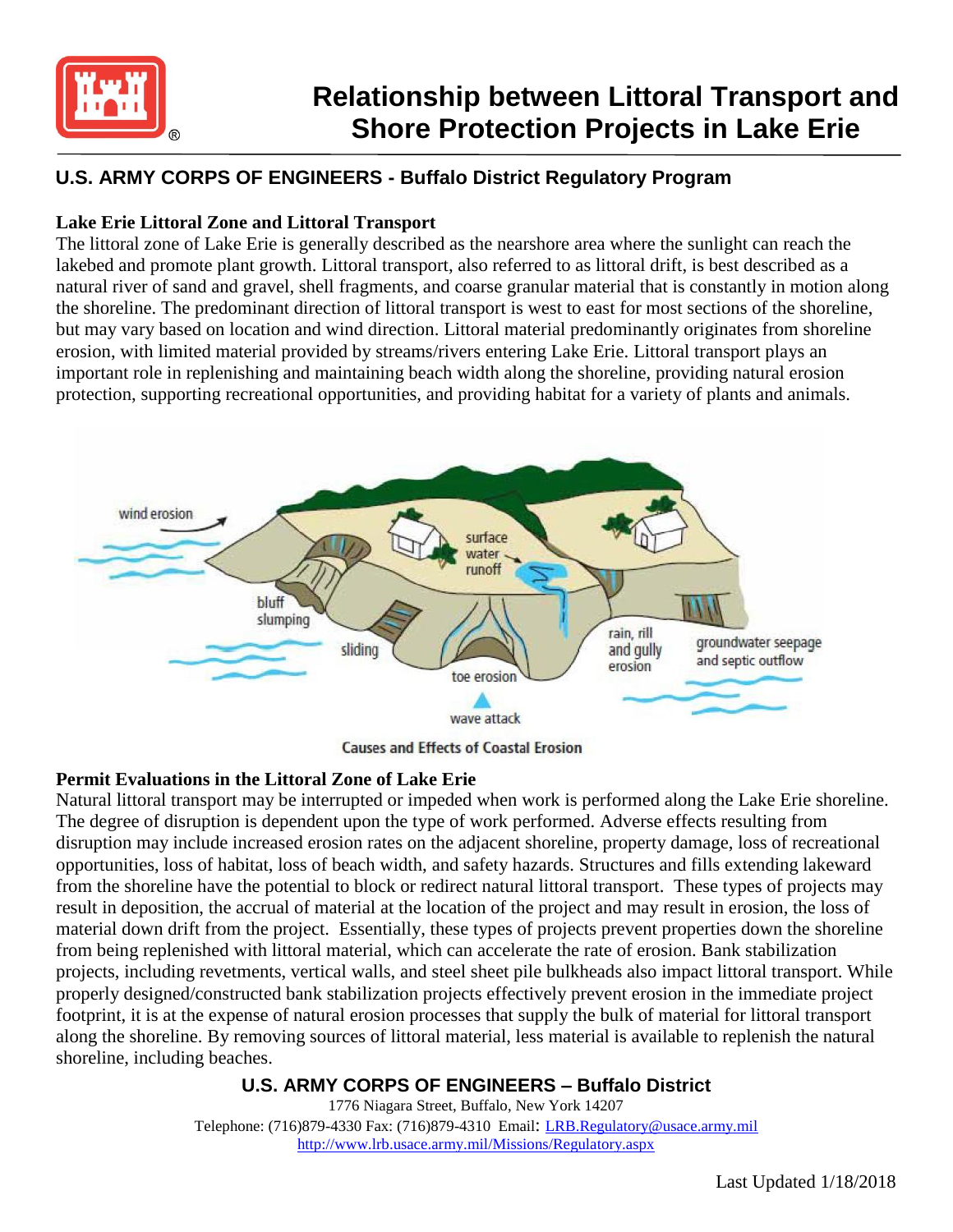

# **Relationship between Littoral Transport and Shore Protection Projects in Lake Erie**

## **U.S. ARMY CORPS OF ENGINEERS - Buffalo District Regulatory Program**

### **Lake Erie Littoral Zone and Littoral Transport**

The littoral zone of Lake Erie is generally described as the nearshore area where the sunlight can reach the lakebed and promote plant growth. Littoral transport, also referred to as littoral drift, is best described as a natural river of sand and gravel, shell fragments, and coarse granular material that is constantly in motion along the shoreline. The predominant direction of littoral transport is west to east for most sections of the shoreline, but may vary based on location and wind direction. Littoral material predominantly originates from shoreline erosion, with limited material provided by streams/rivers entering Lake Erie. Littoral transport plays an important role in replenishing and maintaining beach width along the shoreline, providing natural erosion protection, supporting recreational opportunities, and providing habitat for a variety of plants and animals.



**Causes and Effects of Coastal Erosion** 

#### **Permit Evaluations in the Littoral Zone of Lake Erie**

Natural littoral transport may be interrupted or impeded when work is performed along the Lake Erie shoreline. The degree of disruption is dependent upon the type of work performed. Adverse effects resulting from disruption may include increased erosion rates on the adjacent shoreline, property damage, loss of recreational opportunities, loss of habitat, loss of beach width, and safety hazards. Structures and fills extending lakeward from the shoreline have the potential to block or redirect natural littoral transport. These types of projects may result in deposition, the accrual of material at the location of the project and may result in erosion, the loss of material down drift from the project. Essentially, these types of projects prevent properties down the shoreline from being replenished with littoral material, which can accelerate the rate of erosion. Bank stabilization projects, including revetments, vertical walls, and steel sheet pile bulkheads also impact littoral transport. While properly designed/constructed bank stabilization projects effectively prevent erosion in the immediate project footprint, it is at the expense of natural erosion processes that supply the bulk of material for littoral transport along the shoreline. By removing sources of littoral material, less material is available to replenish the natural shoreline, including beaches.

#### **U.S. ARMY CORPS OF ENGINEERS – Buffalo District**

1776 Niagara Street, Buffalo, New York 14207 Telephone: (716)879-4330 Fax: (716)879-4310 Email: [LRB.Regulatory@usace.army.mil](mailto:LRB.Regulatory@usace.army.mil) <http://www.lrb.usace.army.mil/Missions/Regulatory.aspx>